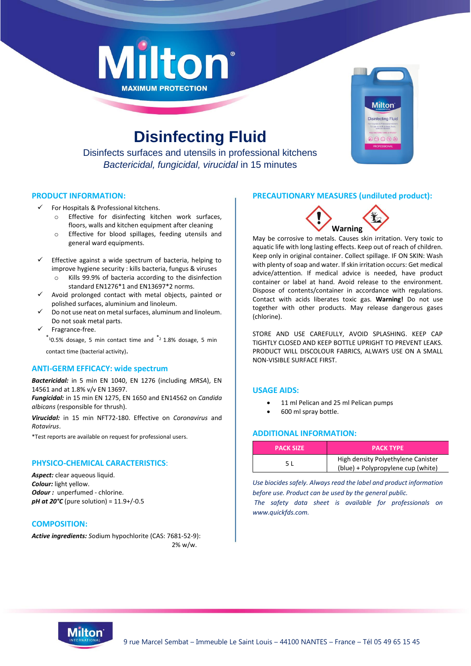



# **Disinfecting Fluid**

Disinfects surfaces and utensils in professional kitchens *Bactericidal, fungicidal, virucidal* in 15 minutes

## **PRODUCT INFORMATION:**

- For Hospitals & Professional kitchens.
	- o Effective for disinfecting kitchen work surfaces, floors, walls and kitchen equipment after cleaning
	- o Effective for blood spillages, feeding utensils and general ward equipments.
- Effective against a wide spectrum of bacteria, helping to improve hygiene security : kills bacteria, fungus & viruses o Kills 99.9% of bacteria according to the disinfection
	- standard EN1276\*1 and EN13697\*2 norms.
- Avoid prolonged contact with metal objects, painted or polished surfaces, aluminium and linoleum.
- Do not use neat on metal surfaces, aluminum and linoleum. Do not soak metal parts.
- Fragrance-free.

 $*$ <sup>1</sup>0.5% dosage, 5 min contact time and  $*$ <sup>2</sup> 1.8% dosage, 5 min contact time (bacterial activity).

## **ANTI-GERM EFFICACY: wide spectrum**

*Bactericidal:* in 5 min EN 1040, EN 1276 (including *MRSA*), EN 14561 and at 1.8% v/v EN 13697.

*Fungicidal:* in 15 min EN 1275, EN 1650 and EN14562 on *Candida albicans* (responsible for thrush).

*Virucidal:* in 15 min NFT72-180. Effective on *Coronavirus* and *Rotavirus*.

\*Test reports are available on request for professional users.

## **PHYSICO-CHEMICAL CARACTERISTICS**:

*Aspect:* clear aqueous liquid. *Colour:* light yellow. **Odour**: unperfumed - chlorine. *pH at 20°C* (pure solution) = 11.9+/-0.5

## **COMPOSITION:**

*Active ingredients: S*odium hypochlorite (CAS: 7681-52-9): 2% w/w.

# **PRECAUTIONARY MEASURES (undiluted product):**



May be corrosive to metals. Causes skin irritation. Very toxic to aquatic life with long lasting effects. Keep out of reach of children. Keep only in original container. Collect spillage. IF ON SKIN: Wash with plenty of soap and water. If skin irritation occurs: Get medical advice/attention. If medical advice is needed, have product container or label at hand. Avoid release to the environment. Dispose of contents/container in accordance with regulations. Contact with acids liberates toxic gas. **Warning!** Do not use together with other products. May release dangerous gases (chlorine).

STORE AND USE CAREFULLY, AVOID SPLASHING. KEEP CAP TIGHTLY CLOSED AND KEEP BOTTLE UPRIGHT TO PREVENT LEAKS. PRODUCT WILL DISCOLOUR FABRICS, ALWAYS USE ON A SMALL NON-VISIBLE SURFACE FIRST.

## **USAGE AIDS:**

- 11 ml Pelican and 25 ml Pelican pumps
- 600 ml spray bottle.

# **ADDITIONAL INFORMATION:**

| <b>PACK SIZE</b> | <b>PACK TYPE</b>                                                         |  |
|------------------|--------------------------------------------------------------------------|--|
| 5 L              | High density Polyethylene Canister<br>(blue) + Polypropylene cup (white) |  |

*Use biocides safely. Always read the label and product information before use. Product can be used by the general public.*

*The safety data sheet is available for professionals on www.quickfds.com.*